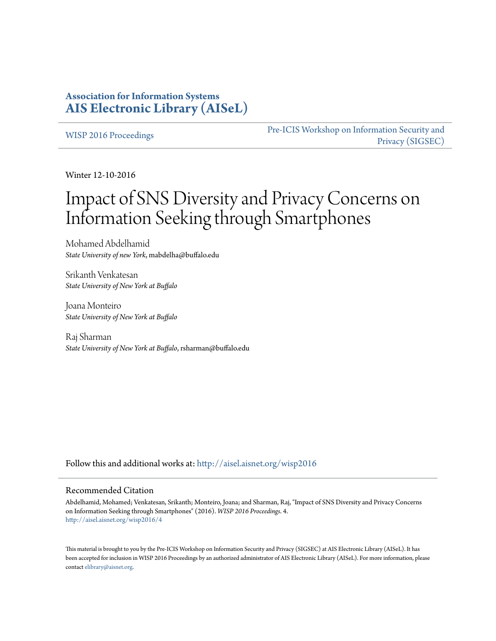# **Association for Information Systems [AIS Electronic Library \(AISeL\)](http://aisel.aisnet.org?utm_source=aisel.aisnet.org%2Fwisp2016%2F4&utm_medium=PDF&utm_campaign=PDFCoverPages)**

[WISP 2016 Proceedings](http://aisel.aisnet.org/wisp2016?utm_source=aisel.aisnet.org%2Fwisp2016%2F4&utm_medium=PDF&utm_campaign=PDFCoverPages)

[Pre-ICIS Workshop on Information Security and](http://aisel.aisnet.org/sigsec?utm_source=aisel.aisnet.org%2Fwisp2016%2F4&utm_medium=PDF&utm_campaign=PDFCoverPages) [Privacy \(SIGSEC\)](http://aisel.aisnet.org/sigsec?utm_source=aisel.aisnet.org%2Fwisp2016%2F4&utm_medium=PDF&utm_campaign=PDFCoverPages)

Winter 12-10-2016

# Impact of SNS Diversity and Privacy Concerns on Information Seeking through Smartphones

Mohamed Abdelhamid *State University of new York*, mabdelha@buffalo.edu

Srikanth Venkatesan *State University of New York at Buffalo*

Joana Monteiro *State University of New York at Buffalo*

Raj Sharman *State University of New York at Buffalo*, rsharman@buffalo.edu

Follow this and additional works at: [http://aisel.aisnet.org/wisp2016](http://aisel.aisnet.org/wisp2016?utm_source=aisel.aisnet.org%2Fwisp2016%2F4&utm_medium=PDF&utm_campaign=PDFCoverPages)

#### Recommended Citation

Abdelhamid, Mohamed; Venkatesan, Srikanth; Monteiro, Joana; and Sharman, Raj, "Impact of SNS Diversity and Privacy Concerns on Information Seeking through Smartphones" (2016). *WISP 2016 Proceedings*. 4. [http://aisel.aisnet.org/wisp2016/4](http://aisel.aisnet.org/wisp2016/4?utm_source=aisel.aisnet.org%2Fwisp2016%2F4&utm_medium=PDF&utm_campaign=PDFCoverPages)

This material is brought to you by the Pre-ICIS Workshop on Information Security and Privacy (SIGSEC) at AIS Electronic Library (AISeL). It has been accepted for inclusion in WISP 2016 Proceedings by an authorized administrator of AIS Electronic Library (AISeL). For more information, please contact [elibrary@aisnet.org.](mailto:elibrary@aisnet.org%3E)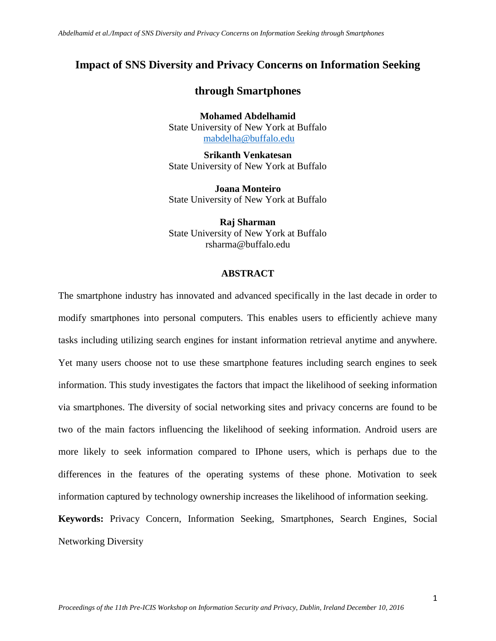## **Impact of SNS Diversity and Privacy Concerns on Information Seeking**

## **through Smartphones**

**Mohamed Abdelhamid** State University of New York at Buffalo [mabdelha@buffalo.edu](mailto:mabdelha@buffalo.edu)

**Srikanth Venkatesan** State University of New York at Buffalo

**Joana Monteiro** State University of New York at Buffalo

**Raj Sharman** State University of New York at Buffalo rsharma@buffalo.edu

#### **ABSTRACT**

The smartphone industry has innovated and advanced specifically in the last decade in order to modify smartphones into personal computers. This enables users to efficiently achieve many tasks including utilizing search engines for instant information retrieval anytime and anywhere. Yet many users choose not to use these smartphone features including search engines to seek information. This study investigates the factors that impact the likelihood of seeking information via smartphones. The diversity of social networking sites and privacy concerns are found to be two of the main factors influencing the likelihood of seeking information. Android users are more likely to seek information compared to IPhone users, which is perhaps due to the differences in the features of the operating systems of these phone. Motivation to seek information captured by technology ownership increases the likelihood of information seeking.

**Keywords:** Privacy Concern, Information Seeking, Smartphones, Search Engines, Social Networking Diversity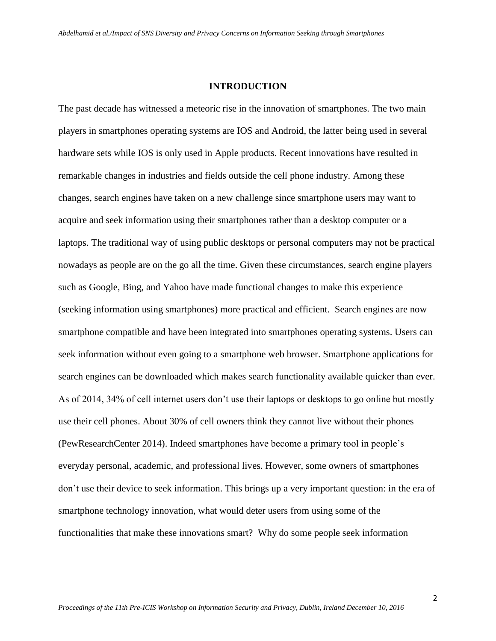#### **INTRODUCTION**

The past decade has witnessed a meteoric rise in the innovation of smartphones. The two main players in smartphones operating systems are IOS and Android, the latter being used in several hardware sets while IOS is only used in Apple products. Recent innovations have resulted in remarkable changes in industries and fields outside the cell phone industry. Among these changes, search engines have taken on a new challenge since smartphone users may want to acquire and seek information using their smartphones rather than a desktop computer or a laptops. The traditional way of using public desktops or personal computers may not be practical nowadays as people are on the go all the time. Given these circumstances, search engine players such as Google, Bing, and Yahoo have made functional changes to make this experience (seeking information using smartphones) more practical and efficient. Search engines are now smartphone compatible and have been integrated into smartphones operating systems. Users can seek information without even going to a smartphone web browser. Smartphone applications for search engines can be downloaded which makes search functionality available quicker than ever. As of 2014, 34% of cell internet users don't use their laptops or desktops to go online but mostly use their cell phones. About 30% of cell owners think they cannot live without their phones (PewResearchCenter 2014). Indeed smartphones have become a primary tool in people's everyday personal, academic, and professional lives. However, some owners of smartphones don't use their device to seek information. This brings up a very important question: in the era of smartphone technology innovation, what would deter users from using some of the functionalities that make these innovations smart? Why do some people seek information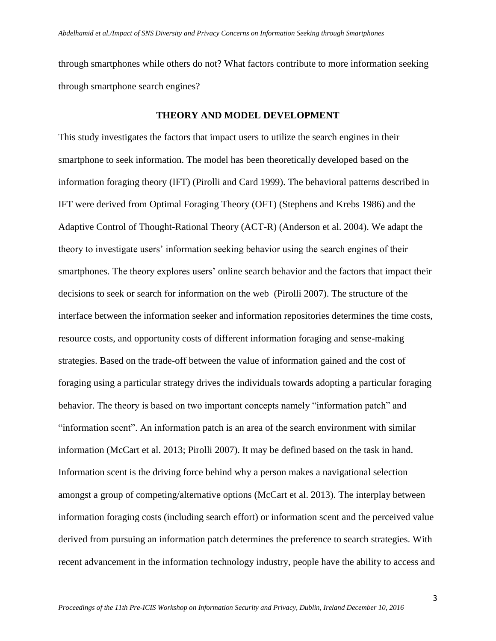through smartphones while others do not? What factors contribute to more information seeking through smartphone search engines?

#### **THEORY AND MODEL DEVELOPMENT**

This study investigates the factors that impact users to utilize the search engines in their smartphone to seek information. The model has been theoretically developed based on the information foraging theory (IFT) (Pirolli and Card 1999). The behavioral patterns described in IFT were derived from Optimal Foraging Theory (OFT) (Stephens and Krebs 1986) and the Adaptive Control of Thought-Rational Theory (ACT-R) (Anderson et al. 2004). We adapt the theory to investigate users' information seeking behavior using the search engines of their smartphones. The theory explores users' online search behavior and the factors that impact their decisions to seek or search for information on the web (Pirolli 2007). The structure of the interface between the information seeker and information repositories determines the time costs, resource costs, and opportunity costs of different information foraging and sense-making strategies. Based on the trade-off between the value of information gained and the cost of foraging using a particular strategy drives the individuals towards adopting a particular foraging behavior. The theory is based on two important concepts namely "information patch" and "information scent". An information patch is an area of the search environment with similar information (McCart et al. 2013; Pirolli 2007). It may be defined based on the task in hand. Information scent is the driving force behind why a person makes a navigational selection amongst a group of competing/alternative options (McCart et al. 2013). The interplay between information foraging costs (including search effort) or information scent and the perceived value derived from pursuing an information patch determines the preference to search strategies. With recent advancement in the information technology industry, people have the ability to access and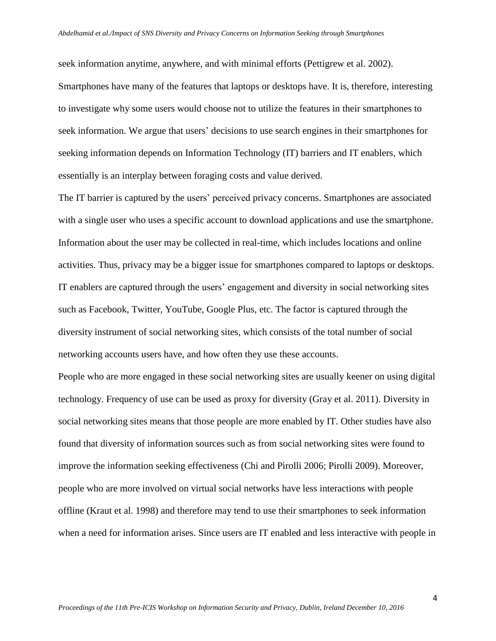seek information anytime, anywhere, and with minimal efforts (Pettigrew et al. 2002). Smartphones have many of the features that laptops or desktops have. It is, therefore, interesting to investigate why some users would choose not to utilize the features in their smartphones to seek information. We argue that users' decisions to use search engines in their smartphones for seeking information depends on Information Technology (IT) barriers and IT enablers, which essentially is an interplay between foraging costs and value derived.

The IT barrier is captured by the users' perceived privacy concerns. Smartphones are associated with a single user who uses a specific account to download applications and use the smartphone. Information about the user may be collected in real-time, which includes locations and online activities. Thus, privacy may be a bigger issue for smartphones compared to laptops or desktops. IT enablers are captured through the users' engagement and diversity in social networking sites such as Facebook, Twitter, YouTube, Google Plus, etc. The factor is captured through the diversity instrument of social networking sites, which consists of the total number of social networking accounts users have, and how often they use these accounts.

People who are more engaged in these social networking sites are usually keener on using digital technology. Frequency of use can be used as proxy for diversity (Gray et al. 2011). Diversity in social networking sites means that those people are more enabled by IT. Other studies have also found that diversity of information sources such as from social networking sites were found to improve the information seeking effectiveness (Chi and Pirolli 2006; Pirolli 2009). Moreover, people who are more involved on virtual social networks have less interactions with people offline (Kraut et al. 1998) and therefore may tend to use their smartphones to seek information when a need for information arises. Since users are IT enabled and less interactive with people in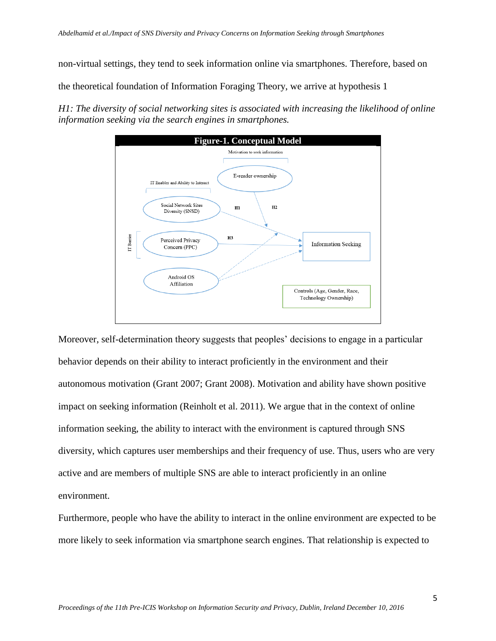non-virtual settings, they tend to seek information online via smartphones. Therefore, based on

the theoretical foundation of Information Foraging Theory, we arrive at hypothesis 1

*H1: The diversity of social networking sites is associated with increasing the likelihood of online information seeking via the search engines in smartphones.*



Moreover, self-determination theory suggests that peoples' decisions to engage in a particular behavior depends on their ability to interact proficiently in the environment and their autonomous motivation (Grant 2007; Grant 2008). Motivation and ability have shown positive impact on seeking information (Reinholt et al. 2011). We argue that in the context of online information seeking, the ability to interact with the environment is captured through SNS diversity, which captures user memberships and their frequency of use. Thus, users who are very active and are members of multiple SNS are able to interact proficiently in an online environment.

Furthermore, people who have the ability to interact in the online environment are expected to be more likely to seek information via smartphone search engines. That relationship is expected to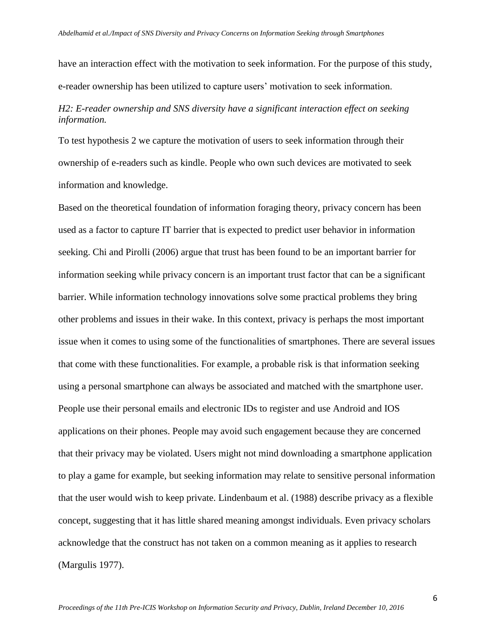have an interaction effect with the motivation to seek information. For the purpose of this study, e-reader ownership has been utilized to capture users' motivation to seek information.

## *H2: E-reader ownership and SNS diversity have a significant interaction effect on seeking information.*

To test hypothesis 2 we capture the motivation of users to seek information through their ownership of e-readers such as kindle. People who own such devices are motivated to seek information and knowledge.

Based on the theoretical foundation of information foraging theory, privacy concern has been used as a factor to capture IT barrier that is expected to predict user behavior in information seeking. Chi and Pirolli (2006) argue that trust has been found to be an important barrier for information seeking while privacy concern is an important trust factor that can be a significant barrier. While information technology innovations solve some practical problems they bring other problems and issues in their wake. In this context, privacy is perhaps the most important issue when it comes to using some of the functionalities of smartphones. There are several issues that come with these functionalities. For example, a probable risk is that information seeking using a personal smartphone can always be associated and matched with the smartphone user. People use their personal emails and electronic IDs to register and use Android and IOS applications on their phones. People may avoid such engagement because they are concerned that their privacy may be violated. Users might not mind downloading a smartphone application to play a game for example, but seeking information may relate to sensitive personal information that the user would wish to keep private. Lindenbaum et al. (1988) describe privacy as a flexible concept, suggesting that it has little shared meaning amongst individuals. Even privacy scholars acknowledge that the construct has not taken on a common meaning as it applies to research (Margulis 1977).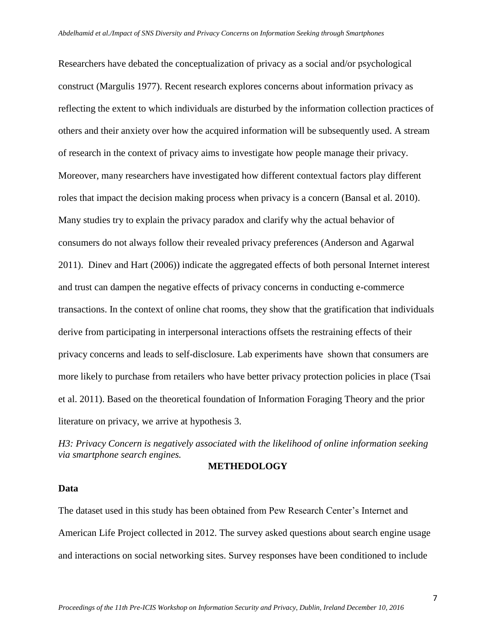Researchers have debated the conceptualization of privacy as a social and/or psychological construct (Margulis 1977). Recent research explores concerns about information privacy as reflecting the extent to which individuals are disturbed by the information collection practices of others and their anxiety over how the acquired information will be subsequently used. A stream of research in the context of privacy aims to investigate how people manage their privacy. Moreover, many researchers have investigated how different contextual factors play different roles that impact the decision making process when privacy is a concern (Bansal et al. 2010). Many studies try to explain the privacy paradox and clarify why the actual behavior of consumers do not always follow their revealed privacy preferences (Anderson and Agarwal 2011). Dinev and Hart (2006)) indicate the aggregated effects of both personal Internet interest and trust can dampen the negative effects of privacy concerns in conducting e-commerce transactions. In the context of online chat rooms, they show that the gratification that individuals derive from participating in interpersonal interactions offsets the restraining effects of their privacy concerns and leads to self-disclosure. Lab experiments have shown that consumers are more likely to purchase from retailers who have better privacy protection policies in place (Tsai et al. 2011). Based on the theoretical foundation of Information Foraging Theory and the prior literature on privacy, we arrive at hypothesis 3.

*H3: Privacy Concern is negatively associated with the likelihood of online information seeking via smartphone search engines.*

#### **METHEDOLOGY**

#### **Data**

The dataset used in this study has been obtained from Pew Research Center's Internet and American Life Project collected in 2012. The survey asked questions about search engine usage and interactions on social networking sites. Survey responses have been conditioned to include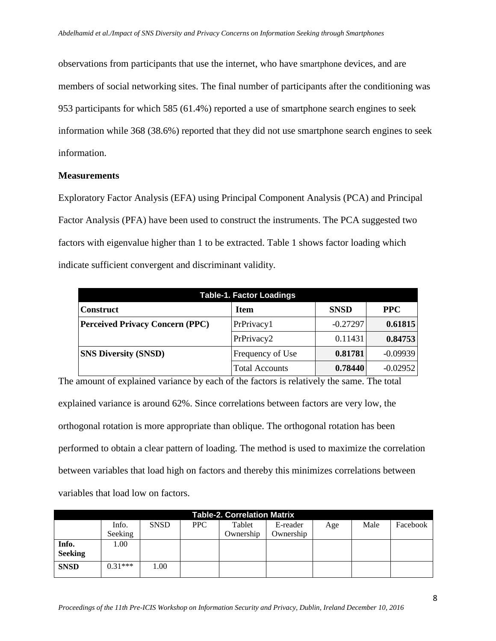observations from participants that use the internet, who have smartphone devices, and are members of social networking sites. The final number of participants after the conditioning was 953 participants for which 585 (61.4%) reported a use of smartphone search engines to seek information while 368 (38.6%) reported that they did not use smartphone search engines to seek information.

#### **Measurements**

Exploratory Factor Analysis (EFA) using Principal Component Analysis (PCA) and Principal Factor Analysis (PFA) have been used to construct the instruments. The PCA suggested two factors with eigenvalue higher than 1 to be extracted. Table 1 shows factor loading which indicate sufficient convergent and discriminant validity.

| <b>Table-1. Factor Loadings</b>        |                       |             |            |  |  |  |  |  |
|----------------------------------------|-----------------------|-------------|------------|--|--|--|--|--|
| <b>Construct</b>                       | <b>Item</b>           | <b>SNSD</b> | <b>PPC</b> |  |  |  |  |  |
| <b>Perceived Privacy Concern (PPC)</b> | PrPrivacy1            | $-0.27297$  | 0.61815    |  |  |  |  |  |
|                                        | PrPrivacy2            | 0.11431     | 0.84753    |  |  |  |  |  |
| <b>SNS Diversity (SNSD)</b>            | Frequency of Use      | 0.81781     | $-0.09939$ |  |  |  |  |  |
|                                        | <b>Total Accounts</b> | 0.78440     | $-0.02952$ |  |  |  |  |  |

The amount of explained variance by each of the factors is relatively the same. The total explained variance is around 62%. Since correlations between factors are very low, the orthogonal rotation is more appropriate than oblique. The orthogonal rotation has been performed to obtain a clear pattern of loading. The method is used to maximize the correlation between variables that load high on factors and thereby this minimizes correlations between variables that load low on factors.

| <b>Table-2. Correlation Matrix</b> |           |             |     |           |           |     |      |          |  |  |
|------------------------------------|-----------|-------------|-----|-----------|-----------|-----|------|----------|--|--|
|                                    | Info.     | <b>SNSD</b> | PPC | Tablet    | E-reader  | Age | Male | Facebook |  |  |
|                                    | Seeking   |             |     | Ownership | Ownership |     |      |          |  |  |
| Info.                              | 1.00      |             |     |           |           |     |      |          |  |  |
| <b>Seeking</b>                     |           |             |     |           |           |     |      |          |  |  |
| <b>SNSD</b>                        | $0.31***$ | 1.00        |     |           |           |     |      |          |  |  |
|                                    |           |             |     |           |           |     |      |          |  |  |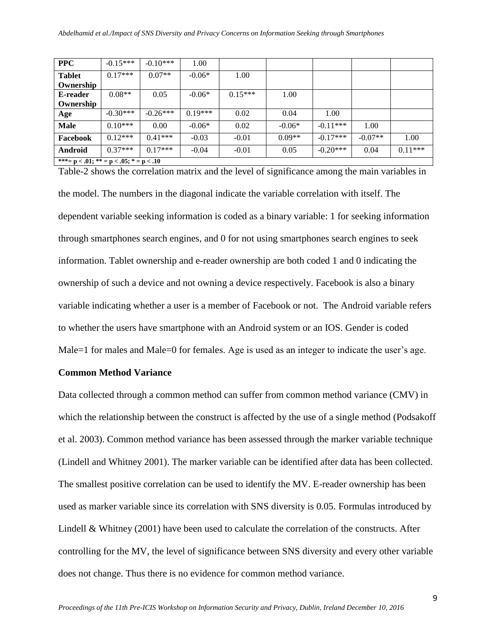| <b>PPC</b>                                      | $-0.15***$ | $-0.10***$ | 1.00      |           |          |            |           |           |  |
|-------------------------------------------------|------------|------------|-----------|-----------|----------|------------|-----------|-----------|--|
| <b>Tablet</b>                                   | $0.17***$  | $0.07**$   | $-0.06*$  | 1.00      |          |            |           |           |  |
| Ownership                                       |            |            |           |           |          |            |           |           |  |
| E-reader                                        | $0.08**$   | 0.05       | $-0.06*$  | $0.15***$ | 1.00     |            |           |           |  |
| Ownership                                       |            |            |           |           |          |            |           |           |  |
| Age                                             | $-0.30***$ | $-0.26***$ | $0.19***$ | 0.02      | 0.04     | 1.00       |           |           |  |
| <b>Male</b>                                     | $0.10***$  | 0.00       | $-0.06*$  | 0.02      | $-0.06*$ | $-0.11***$ | 1.00      |           |  |
| Facebook                                        | $0.12***$  | $0.41***$  | $-0.03$   | $-0.01$   | $0.09**$ | $-0.17***$ | $-0.07**$ | 1.00      |  |
| Android                                         | $0.37***$  | $0.17***$  | $-0.04$   | $-0.01$   | 0.05     | $-0.20***$ | 0.04      | $0.11***$ |  |
| ***= $p < .01$ ; ** = $p < .05$ ; * = $p < .10$ |            |            |           |           |          |            |           |           |  |

Table-2 shows the correlation matrix and the level of significance among the main variables in the model. The numbers in the diagonal indicate the variable correlation with itself. The dependent variable seeking information is coded as a binary variable: 1 for seeking information through smartphones search engines, and 0 for not using smartphones search engines to seek information. Tablet ownership and e-reader ownership are both coded 1 and 0 indicating the ownership of such a device and not owning a device respectively. Facebook is also a binary variable indicating whether a user is a member of Facebook or not. The Android variable refers to whether the users have smartphone with an Android system or an IOS. Gender is coded Male=1 for males and Male=0 for females. Age is used as an integer to indicate the user's age.

#### **Common Method Variance**

Data collected through a common method can suffer from common method variance (CMV) in which the relationship between the construct is affected by the use of a single method (Podsakoff et al. 2003). Common method variance has been assessed through the marker variable technique (Lindell and Whitney 2001). The marker variable can be identified after data has been collected. The smallest positive correlation can be used to identify the MV. E-reader ownership has been used as marker variable since its correlation with SNS diversity is 0.05. Formulas introduced by Lindell & Whitney (2001) have been used to calculate the correlation of the constructs. After controlling for the MV, the level of significance between SNS diversity and every other variable does not change. Thus there is no evidence for common method variance.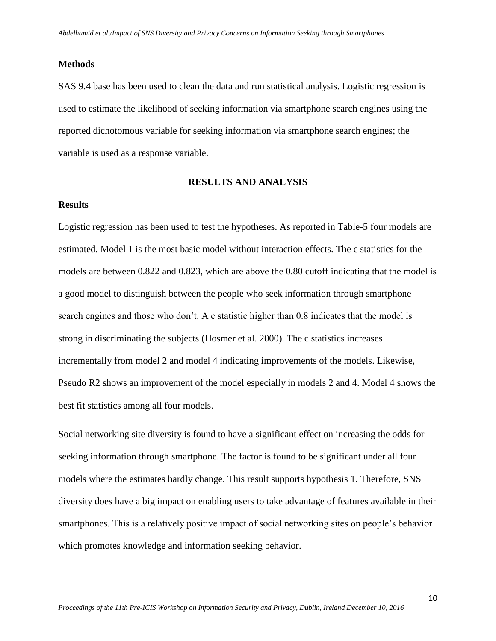#### **Methods**

SAS 9.4 base has been used to clean the data and run statistical analysis. Logistic regression is used to estimate the likelihood of seeking information via smartphone search engines using the reported dichotomous variable for seeking information via smartphone search engines; the variable is used as a response variable.

#### **RESULTS AND ANALYSIS**

#### **Results**

Logistic regression has been used to test the hypotheses. As reported in Table-5 four models are estimated. Model 1 is the most basic model without interaction effects. The c statistics for the models are between 0.822 and 0.823, which are above the 0.80 cutoff indicating that the model is a good model to distinguish between the people who seek information through smartphone search engines and those who don't. A c statistic higher than 0.8 indicates that the model is strong in discriminating the subjects (Hosmer et al. 2000). The c statistics increases incrementally from model 2 and model 4 indicating improvements of the models. Likewise, Pseudo R2 shows an improvement of the model especially in models 2 and 4. Model 4 shows the best fit statistics among all four models.

Social networking site diversity is found to have a significant effect on increasing the odds for seeking information through smartphone. The factor is found to be significant under all four models where the estimates hardly change. This result supports hypothesis 1. Therefore, SNS diversity does have a big impact on enabling users to take advantage of features available in their smartphones. This is a relatively positive impact of social networking sites on people's behavior which promotes knowledge and information seeking behavior.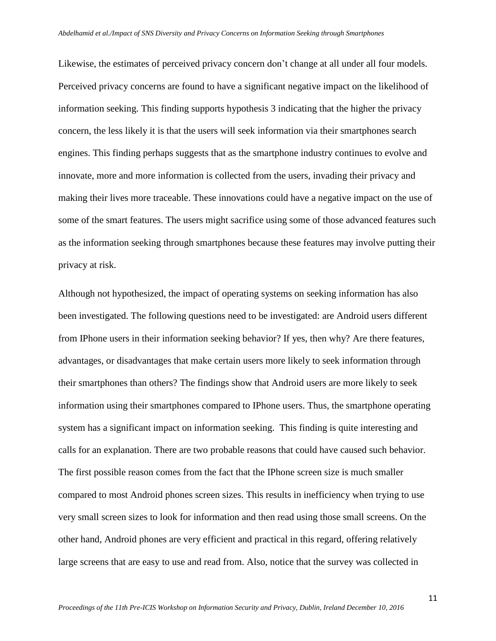Likewise, the estimates of perceived privacy concern don't change at all under all four models. Perceived privacy concerns are found to have a significant negative impact on the likelihood of information seeking. This finding supports hypothesis 3 indicating that the higher the privacy concern, the less likely it is that the users will seek information via their smartphones search engines. This finding perhaps suggests that as the smartphone industry continues to evolve and innovate, more and more information is collected from the users, invading their privacy and making their lives more traceable. These innovations could have a negative impact on the use of some of the smart features. The users might sacrifice using some of those advanced features such as the information seeking through smartphones because these features may involve putting their privacy at risk.

Although not hypothesized, the impact of operating systems on seeking information has also been investigated. The following questions need to be investigated: are Android users different from IPhone users in their information seeking behavior? If yes, then why? Are there features, advantages, or disadvantages that make certain users more likely to seek information through their smartphones than others? The findings show that Android users are more likely to seek information using their smartphones compared to IPhone users. Thus, the smartphone operating system has a significant impact on information seeking. This finding is quite interesting and calls for an explanation. There are two probable reasons that could have caused such behavior. The first possible reason comes from the fact that the IPhone screen size is much smaller compared to most Android phones screen sizes. This results in inefficiency when trying to use very small screen sizes to look for information and then read using those small screens. On the other hand, Android phones are very efficient and practical in this regard, offering relatively large screens that are easy to use and read from. Also, notice that the survey was collected in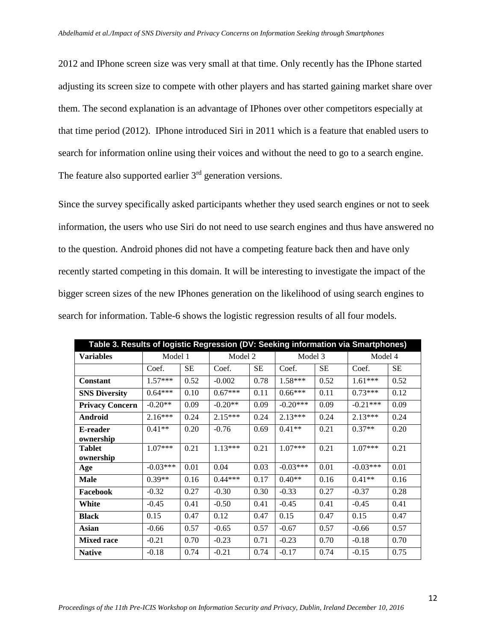2012 and IPhone screen size was very small at that time. Only recently has the IPhone started adjusting its screen size to compete with other players and has started gaining market share over them. The second explanation is an advantage of IPhones over other competitors especially at that time period (2012). IPhone introduced Siri in 2011 which is a feature that enabled users to search for information online using their voices and without the need to go to a search engine. The feature also supported earlier 3<sup>rd</sup> generation versions.

Since the survey specifically asked participants whether they used search engines or not to seek information, the users who use Siri do not need to use search engines and thus have answered no to the question. Android phones did not have a competing feature back then and have only recently started competing in this domain. It will be interesting to investigate the impact of the bigger screen sizes of the new IPhones generation on the likelihood of using search engines to search for information. Table-6 shows the logistic regression results of all four models.

| Table 3. Results of logistic Regression (DV: Seeking information via Smartphones) |            |      |           |           |            |           |            |           |  |
|-----------------------------------------------------------------------------------|------------|------|-----------|-----------|------------|-----------|------------|-----------|--|
| <b>Variables</b>                                                                  | Model 1    |      | Model 2   |           | Model 3    |           | Model 4    |           |  |
|                                                                                   | Coef.      | SE.  | Coef.     | <b>SE</b> | Coef.      | <b>SE</b> | Coef.      | <b>SE</b> |  |
| <b>Constant</b>                                                                   | $1.57***$  | 0.52 | $-0.002$  | 0.78      | $1.58***$  | 0.52      | $1.61***$  | 0.52      |  |
| <b>SNS Diversity</b>                                                              | $0.64***$  | 0.10 | $0.67***$ | 0.11      | $0.66***$  | 0.11      | $0.73***$  | 0.12      |  |
| <b>Privacy Concern</b>                                                            | $-0.20**$  | 0.09 | $-0.20**$ | 0.09      | $-0.20***$ | 0.09      | $-0.21***$ | 0.09      |  |
| Android                                                                           | $2.16***$  | 0.24 | $2.15***$ | 0.24      | $2.13***$  | 0.24      | $2.13***$  | 0.24      |  |
| E-reader<br>ownership                                                             | $0.41**$   | 0.20 | $-0.76$   | 0.69      | $0.41**$   | 0.21      | $0.37**$   | 0.20      |  |
| <b>Tablet</b><br>ownership                                                        | $1.07***$  | 0.21 | $1.13***$ | 0.21      | $1.07***$  | 0.21      | $1.07***$  | 0.21      |  |
| Age                                                                               | $-0.03***$ | 0.01 | 0.04      | 0.03      | $-0.03***$ | 0.01      | $-0.03***$ | 0.01      |  |
| <b>Male</b>                                                                       | $0.39**$   | 0.16 | $0.44***$ | 0.17      | $0.40**$   | 0.16      | $0.41**$   | 0.16      |  |
| Facebook                                                                          | $-0.32$    | 0.27 | $-0.30$   | 0.30      | $-0.33$    | 0.27      | $-0.37$    | 0.28      |  |
| White                                                                             | $-0.45$    | 0.41 | $-0.50$   | 0.41      | $-0.45$    | 0.41      | $-0.45$    | 0.41      |  |
| <b>Black</b>                                                                      | 0.15       | 0.47 | 0.12      | 0.47      | 0.15       | 0.47      | 0.15       | 0.47      |  |
| Asian                                                                             | $-0.66$    | 0.57 | $-0.65$   | 0.57      | $-0.67$    | 0.57      | $-0.66$    | 0.57      |  |
| <b>Mixed race</b>                                                                 | $-0.21$    | 0.70 | $-0.23$   | 0.71      | $-0.23$    | 0.70      | $-0.18$    | 0.70      |  |
| <b>Native</b>                                                                     | $-0.18$    | 0.74 | $-0.21$   | 0.74      | $-0.17$    | 0.74      | $-0.15$    | 0.75      |  |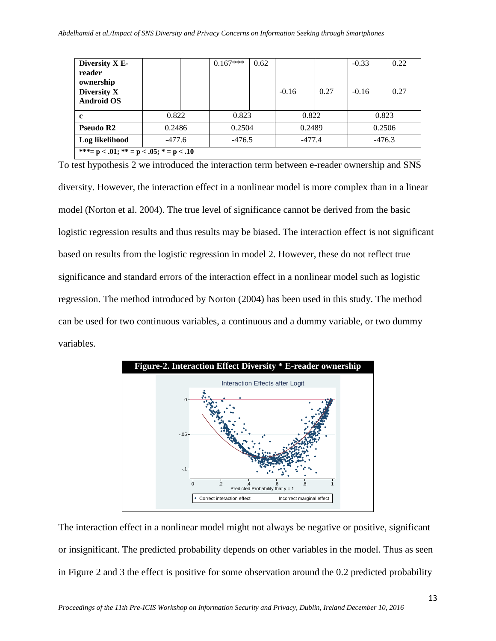| Diversity X E-                                  |        |  | $0.167***$       | 0.62 |          |      | $-0.33$  | 0.22 |  |
|-------------------------------------------------|--------|--|------------------|------|----------|------|----------|------|--|
| reader                                          |        |  |                  |      |          |      |          |      |  |
| ownership                                       |        |  |                  |      |          |      |          |      |  |
| Diversity X                                     |        |  |                  |      | $-0.16$  | 0.27 | $-0.16$  | 0.27 |  |
| <b>Android OS</b>                               |        |  |                  |      |          |      |          |      |  |
| c                                               | 0.822  |  | 0.823            |      | 0.822    |      | 0.823    |      |  |
| Pseudo R2                                       | 0.2486 |  | 0.2504<br>0.2489 |      |          |      | 0.2506   |      |  |
| Log likelihood                                  | -477.6 |  | $-476.5$         |      | $-477.4$ |      | $-476.3$ |      |  |
| ***= $p < .01$ ; ** = $p < .05$ ; * = $p < .10$ |        |  |                  |      |          |      |          |      |  |

To test hypothesis 2 we introduced the interaction term between e-reader ownership and SNS diversity. However, the interaction effect in a nonlinear model is more complex than in a linear model (Norton et al. 2004). The true level of significance cannot be derived from the basic logistic regression results and thus results may be biased. The interaction effect is not significant based on results from the logistic regression in model 2. However, these do not reflect true significance and standard errors of the interaction effect in a nonlinear model such as logistic regression. The method introduced by Norton (2004) has been used in this study. The method can be used for two continuous variables, a continuous and a dummy variable, or two dummy variables.



The interaction effect in a nonlinear model might not always be negative or positive, significant or insignificant. The predicted probability depends on other variables in the model. Thus as seen in Figure 2 and 3 the effect is positive for some observation around the 0.2 predicted probability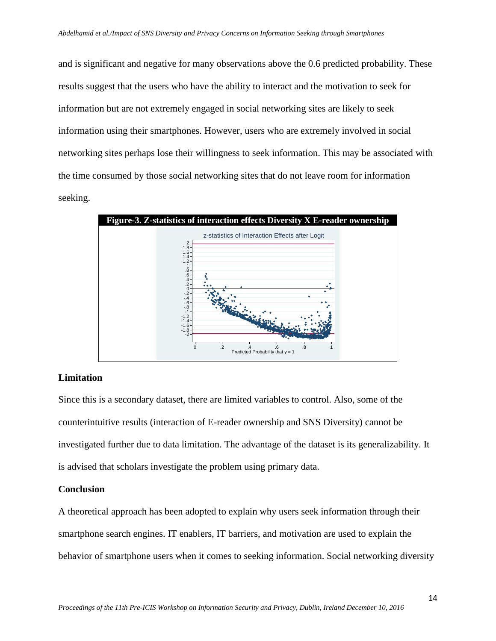and is significant and negative for many observations above the 0.6 predicted probability. These results suggest that the users who have the ability to interact and the motivation to seek for information but are not extremely engaged in social networking sites are likely to seek information using their smartphones. However, users who are extremely involved in social networking sites perhaps lose their willingness to seek information. This may be associated with the time consumed by those social networking sites that do not leave room for information seeking.



#### **Limitation**

Since this is a secondary dataset, there are limited variables to control. Also, some of the counterintuitive results (interaction of E-reader ownership and SNS Diversity) cannot be investigated further due to data limitation. The advantage of the dataset is its generalizability. It is advised that scholars investigate the problem using primary data.

#### **Conclusion**

A theoretical approach has been adopted to explain why users seek information through their smartphone search engines. IT enablers, IT barriers, and motivation are used to explain the behavior of smartphone users when it comes to seeking information. Social networking diversity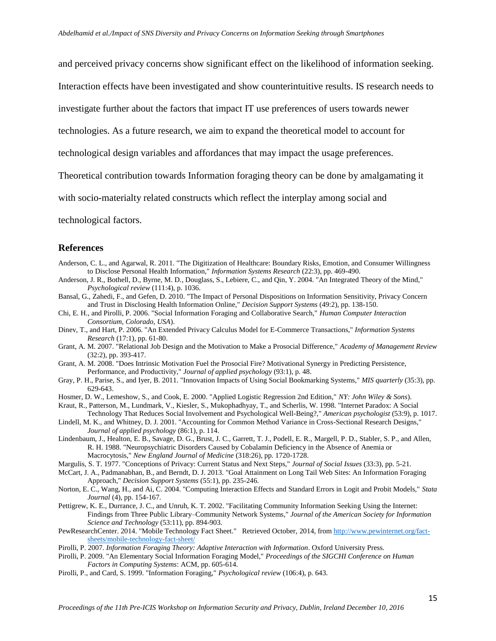and perceived privacy concerns show significant effect on the likelihood of information seeking.

Interaction effects have been investigated and show counterintuitive results. IS research needs to

investigate further about the factors that impact IT use preferences of users towards newer

technologies. As a future research, we aim to expand the theoretical model to account for

technological design variables and affordances that may impact the usage preferences.

Theoretical contribution towards Information foraging theory can be done by amalgamating it

with socio-materialty related constructs which reflect the interplay among social and

technological factors.

#### **References**

- Anderson, C. L., and Agarwal, R. 2011. "The Digitization of Healthcare: Boundary Risks, Emotion, and Consumer Willingness to Disclose Personal Health Information," *Information Systems Research* (22:3), pp. 469-490.
- Anderson, J. R., Bothell, D., Byrne, M. D., Douglass, S., Lebiere, C., and Qin, Y. 2004. "An Integrated Theory of the Mind," *Psychological review* (111:4), p. 1036.
- Bansal, G., Zahedi, F., and Gefen, D. 2010. "The Impact of Personal Dispositions on Information Sensitivity, Privacy Concern and Trust in Disclosing Health Information Online," *Decision Support Systems* (49:2), pp. 138-150.
- Chi, E. H., and Pirolli, P. 2006. "Social Information Foraging and Collaborative Search," *Human Computer Interaction Consortium, Colorado, USA*).
- Dinev, T., and Hart, P. 2006. "An Extended Privacy Calculus Model for E-Commerce Transactions," *Information Systems Research* (17:1), pp. 61-80.
- Grant, A. M. 2007. "Relational Job Design and the Motivation to Make a Prosocial Difference," *Academy of Management Review* (32:2), pp. 393-417.
- Grant, A. M. 2008. "Does Intrinsic Motivation Fuel the Prosocial Fire? Motivational Synergy in Predicting Persistence, Performance, and Productivity," *Journal of applied psychology* (93:1), p. 48.
- Gray, P. H., Parise, S., and Iyer, B. 2011. "Innovation Impacts of Using Social Bookmarking Systems," *MIS quarterly* (35:3), pp. 629-643.
- Hosmer, D. W., Lemeshow, S., and Cook, E. 2000. "Applied Logistic Regression 2nd Edition," *NY: John Wiley & Sons*).
- Kraut, R., Patterson, M., Lundmark, V., Kiesler, S., Mukophadhyay, T., and Scherlis, W. 1998. "Internet Paradox: A Social Technology That Reduces Social Involvement and Psychological Well-Being?," *American psychologist* (53:9), p. 1017.
- Lindell, M. K., and Whitney, D. J. 2001. "Accounting for Common Method Variance in Cross-Sectional Research Designs," *Journal of applied psychology* (86:1), p. 114.
- Lindenbaum, J., Healton, E. B., Savage, D. G., Brust, J. C., Garrett, T. J., Podell, E. R., Margell, P. D., Stabler, S. P., and Allen, R. H. 1988. "Neuropsychiatric Disorders Caused by Cobalamin Deficiency in the Absence of Anemia or Macrocytosis," *New England Journal of Medicine* (318:26), pp. 1720-1728.
- Margulis, S. T. 1977. "Conceptions of Privacy: Current Status and Next Steps," *Journal of Social Issues* (33:3), pp. 5-21.
- McCart, J. A., Padmanabhan, B., and Berndt, D. J. 2013. "Goal Attainment on Long Tail Web Sites: An Information Foraging Approach," *Decision Support Systems* (55:1), pp. 235-246.
- Norton, E. C., Wang, H., and Ai, C. 2004. "Computing Interaction Effects and Standard Errors in Logit and Probit Models," *Stata Journal* (4), pp. 154-167.
- Pettigrew, K. E., Durrance, J. C., and Unruh, K. T. 2002. "Facilitating Community Information Seeking Using the Internet: Findings from Three Public Library–Community Network Systems," *Journal of the American Society for Information Science and Technology* (53:11), pp. 894-903.
- PewResearchCenter. 2014. "Mobile Technology Fact Sheet." Retrieved October, 2014, from [http://www.pewinternet.org/fact](http://www.pewinternet.org/fact-sheets/mobile-technology-fact-sheet/)[sheets/mobile-technology-fact-sheet/](http://www.pewinternet.org/fact-sheets/mobile-technology-fact-sheet/)
- Pirolli, P. 2007. *Information Foraging Theory: Adaptive Interaction with Information*. Oxford University Press.
- Pirolli, P. 2009. "An Elementary Social Information Foraging Model," *Proceedings of the SIGCHI Conference on Human Factors in Computing Systems*: ACM, pp. 605-614.
- Pirolli, P., and Card, S. 1999. "Information Foraging," *Psychological review* (106:4), p. 643.